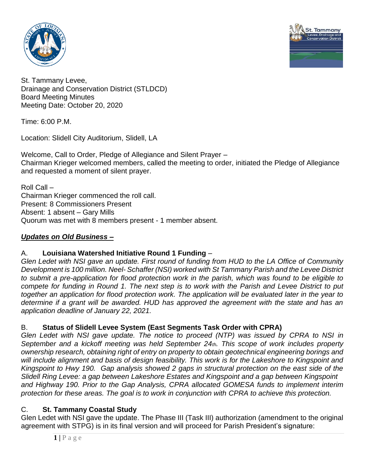



St. Tammany Levee, Drainage and Conservation District (STLDCD) Board Meeting Minutes Meeting Date: October 20, 2020

Time: 6:00 P.M.

Location: Slidell City Auditorium, Slidell, LA

Welcome, Call to Order, Pledge of Allegiance and Silent Prayer – Chairman Krieger welcomed members, called the meeting to order, initiated the Pledge of Allegiance and requested a moment of silent prayer.

Roll Call – Chairman Krieger commenced the roll call. Present: 8 Commissioners Present Absent: 1 absent – Gary Mills Quorum was met with 8 members present - 1 member absent.

## *Updates on Old Business –*

# A. **Louisiana Watershed Initiative Round 1 Funding** –

*Glen Ledet with NSI gave an update. First round of funding from HUD to the LA Office of Community Development is 100 million. Neel- Schaffer (NSI) worked with St Tammany Parish and the Levee District to submit a pre-application for flood protection work in the parish, which was found to be eligible to compete for funding in Round 1. The next step is to work with the Parish and Levee District to put together an application for flood protection work. The application will be evaluated later in the year to determine if a grant will be awarded. HUD has approved the agreement with the state and has an application deadline of January 22, 2021.*

## B. **Status of Slidell Levee System (East Segments Task Order with CPRA)**

*Glen Ledet with NSI gave update. The notice to proceed (NTP) was issued by CPRA to NSI in September and a kickoff meeting was held September 24th. This scope of work includes property ownership research, obtaining right of entry on property to obtain geotechnical engineering borings and will include alignment and basis of design feasibility. This work is for the Lakeshore to Kingspoint and Kingspoint to Hwy 190. Gap analysis showed 2 gaps in structural protection on the east side of the Slidell Ring Levee: a gap between Lakeshore Estates and Kingspoint and a gap between Kingspoint and Highway 190. Prior to the Gap Analysis, CPRA allocated GOMESA funds to implement interim protection for these areas. The goal is to work in conjunction with CPRA to achieve this protection.*

## C. **St. Tammany Coastal Study**

Glen Ledet with NSI gave the update. The Phase III (Task III) authorization (amendment to the original agreement with STPG) is in its final version and will proceed for Parish President's signature: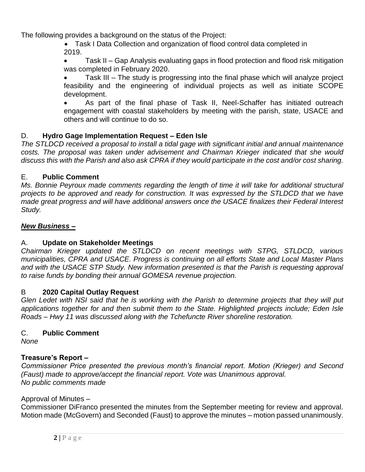The following provides a background on the status of the Project:

 Task I Data Collection and organization of flood control data completed in 2019.

• Task II – Gap Analysis evaluating gaps in flood protection and flood risk mitigation was completed in February 2020.

 Task III – The study is progressing into the final phase which will analyze project feasibility and the engineering of individual projects as well as initiate SCOPE development.

 As part of the final phase of Task II, Neel-Schaffer has initiated outreach engagement with coastal stakeholders by meeting with the parish, state, USACE and others and will continue to do so.

## D. **Hydro Gage Implementation Request – Eden Isle**

*The STLDCD received a proposal to install a tidal gage with significant initial and annual maintenance costs. The proposal was taken under advisement and Chairman Krieger indicated that she would discuss this with the Parish and also ask CPRA if they would participate in the cost and/or cost sharing.*

#### E. **Public Comment**

*Ms. Bonnie Peyroux made comments regarding the length of time it will take for additional structural projects to be approved and ready for construction. It was expressed by the STLDCD that we have made great progress and will have additional answers once the USACE finalizes their Federal Interest Study.*

#### *New Business –*

## A. **Update on Stakeholder Meetings**

*Chairman Krieger updated the STLDCD on recent meetings with STPG, STLDCD, various municipalities, CPRA and USACE. Progress is continuing on all efforts State and Local Master Plans and with the USACE STP Study. New information presented is that the Parish is requesting approval to raise funds by bonding their annual GOMESA revenue projection.*

#### B **2020 Capital Outlay Request**

*Glen Ledet with NSI said that he is working with the Parish to determine projects that they will put applications together for and then submit them to the State. Highlighted projects include; Eden Isle Roads – Hwy 11 was discussed along with the Tchefuncte River shoreline restoration.*

## C. **Public Comment**

*None*

## **Treasure's Report –**

*Commissioner Price presented the previous month's financial report. Motion (Krieger) and Second (Faust) made to approve/accept the financial report. Vote was Unanimous approval. No public comments made*

#### Approval of Minutes –

Commissioner DiFranco presented the minutes from the September meeting for review and approval. Motion made (McGovern) and Seconded (Faust) to approve the minutes – motion passed unanimously.